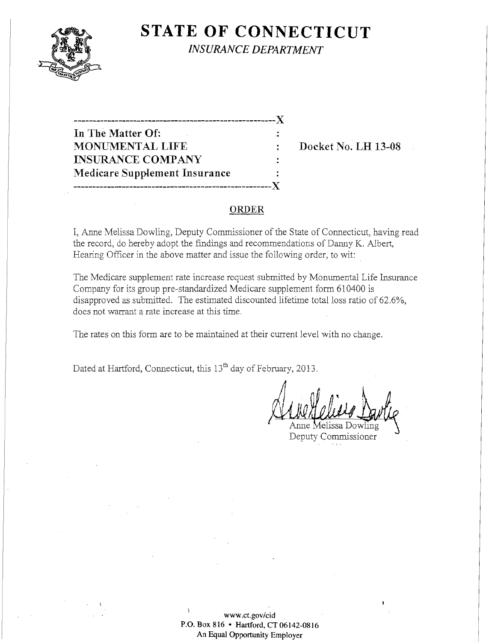

**STATE OF CONNECTICUT** *INSURANCE DEPARTMENT* 

| In The Matter Of:                    |  |
|--------------------------------------|--|
| <b>MONUMENTAL LIFE</b>               |  |
| <b>INSURANCE COMPANY</b>             |  |
| <b>Medicare Supplement Insurance</b> |  |
| -------------------------------      |  |

**Docket No. LH 13-08** 

#### **ORDER**

I, Anne Melissa Dowling, Deputy Commissioner of the State of Connecticut, having read the record, do hereby adopt the findings and recommendations of Danny K. Albert, Hearing Officer in the above matter and issue the following order, to wit:

The Medicare supplement rate increase request submitted by Monumental Life Insurance Company for its group pre-standardized Medicare supplement form 610400 is disapproved as submitted. The estimated discounted lifetime total loss ratio of 62.6%, does not warrant a rate increase at this time.

The rates on this form are to be maintained at their current level with no change.

Dated at Hartford, Connecticut, this 13<sup>th</sup> day of February, 2013.

Deputy Commissioner

**www.ct.gov/cid P.O. Box 816 • Hartford, CT 06142-0816 An Equal Opportunity Employer**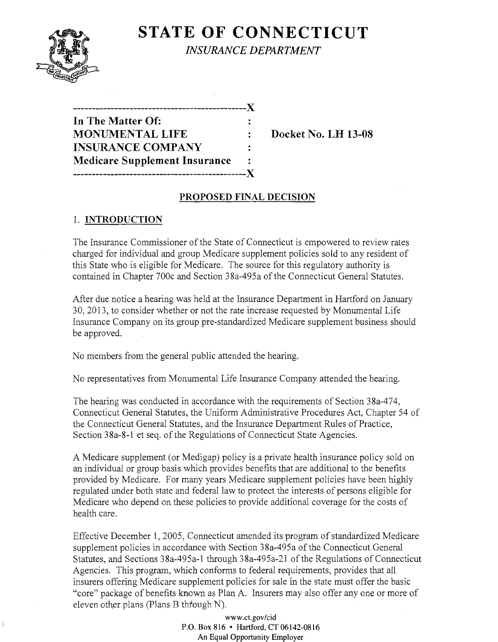

# **STATE OF CONNECTICUT** *INSURANCE DEPARTMENT*

| -----------                          |         |
|--------------------------------------|---------|
| In The Matter Of:                    |         |
| <b>MONUMENTAL LIFE</b>               |         |
| <b>INSURANCE COMPANY</b>             | $\cdot$ |
| <b>Medicare Supplement Insurance</b> |         |
|                                      |         |

**Docket No. LH 13-08** 

# **PROPOSED FINAL DECISION**

### 1. **INTRODUCTION**

The Insurance Commissioner of the State of Connecticut is empowered to review rates charged for individual and group Medicare supplement policies sold to any resident of this State who is eligible for Medicare. The source for this regulatory authority is contained in Chapter 700c and Section 38a-495a of the Connecticut General Statutes.

After due notice a hearing was held at the Insurance Department in Hartford on January 30, 2013, to consider whether or not the rate increase requested by Monumental Life Insurance Company on its group pre-standardized Medicare supplement business should be approved.

No members from the general public attended the hearing.

No representatives from Monumental Life Insurance Company attended the hearing.

The hearing was conducted in accordance with the requirements of Section 38a-474, Connecticut General Statutes, the Uniform Administrative Procedures Act, Chapter 54 of the Connecticut General Statutes, and the Insurance Department Rules of Practice, Section 38a-8-1 et seq. of the Regulations of Connecticut State Agencies.

A Medicare supplement (or Medigap) policy is a private health insurance policy sold on an individual or group basis which provides benefits that are additional to the benefits provided by Medicare. For many years Medicare supplement policies have been highly regulated under both state and federal law to protect the interests of persons eligible for Medicare who depend on these policies to provide additional coverage for the costs of health care.

Effective December 1,2005, Connecticut amended its program of standardized Medicare supplement policies in accordance with Section 38a-495a of the Connecticut General Statutes, and Sections 38a-495a-1 through 38a-495a-21 of the Regulations of Connecticut Agencies. This program, which conforms to federal requirements, provides that all insurers offering Medicare supplement policies for sale in the state must offer the basic "core" package of benefits known as Plan A. Insurers may also offer anyone or more of eleven other plans (Plans B through N).

> www.ct.gov/cid P.O. **Box 816 • Hartford, CT 06142-0816 An Equal Opportunity Employer**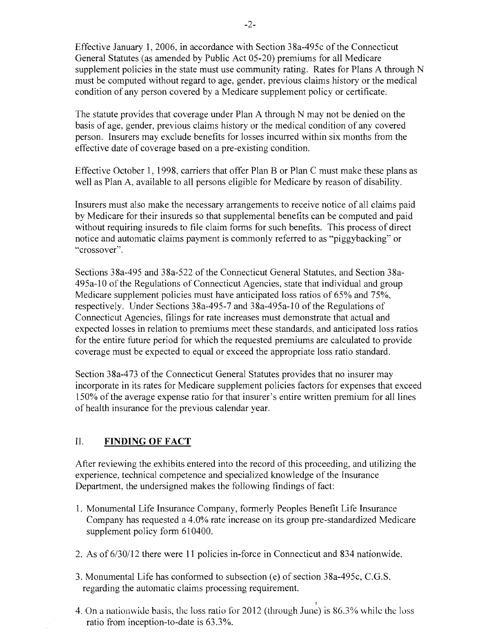Effective January 1,2006, in accordance with Section 38a-495c of the Connecticut General Statutes (as amended by Public Act 05-20) premiums for all Medicare supplement policies in the state must use community rating. Rates for Plans A through N must be computed without regard to age, gender, previous claims history or the medical condition of any person covered by a Medicare supplement policy or certificate.

The statute provides that coverage under Plan A through N may not be denied on the basis of age, gender, previous claims history or the medical condition of any covered person. Insurers may exclude benefits for losses incurred within six months from the effective date of coverage based on a pre-existing condition.

Effective October 1, 1998, carriers that offer Plan B or Plan C must make these plans as well as Plan A, available to all persons eligible for Medicare by reason of disability.

Insurers must also make the necessary arrangements to receive notice of all claims paid by Medicare for their insureds so that supplemental benefits can be computed and paid without requiring insureds to file claim forms for such benefits. This process of direct notice and automatic claims payment is commonly referred to as "piggybacking" or "crossover".

Sections 38a-495 and 38a-522 of the Connecticut General Statutes, and Section 38a-495a-l0 of the Regulations of Connecticut Agencies, state that individual and group Medicare supplement policies must have anticipated loss ratios of 65% and 75%, respectively. Under Sections 38a-495-7 and 38a-495a-l0 of the Regulations of Connecticut Agencies, filings for rate increases must demonstrate that actual and expected losses in relation to premiums meet these standards, and anticipated loss ratios for the entire future period for which the requested premiums are calculated to provide coverage must be expected to equal or exceed the appropriate loss ratio standard.

Section 38a-473 of the Connecticut General Statutes provides that no insurer may incorporate in its rates for Medicare supplement policies factors for expenses that exceed 150% of the average expense ratio for that insurer's entire written premium for all lines of health insurance for the previous calendar year.

# II. **FINDING OF FACT**

After reviewing the exhibits entered into the record of this proceeding, and utilizing the experience, technical competence and specialized knowledge of the Insurance Department, the undersigned makes the following findings of fact:

- 1. Monumental Life Insurance Company, formerly Peoples Benefit Life Insurance Company has requested a 4.0% rate increase on its group pre-standardized Medicare supplement policy form 610400.
- 2. As of 6/30/12 there were **11** policies in-force in Connecticut and 834 nationwide.
- 3. Monumental Life has conformed to subsection (e) of section 38a-495c, C.G.S. regarding the automatic claims processing requirement.
- 4. On a nationwide basis, the loss ratio for 2012 (through June) is 86.3% while the loss ratio from inception-to-date is 63.3%.